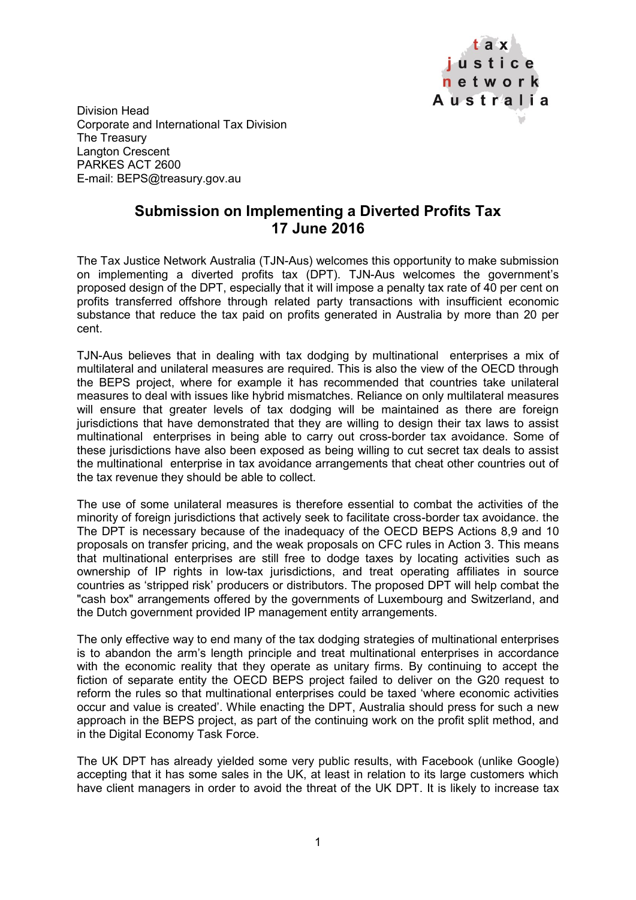

Division Head Corporate and International Tax Division The Treasury Langton Crescent PARKES ACT 2600 E-mail: BEPS@treasury.gov.au

## **Submission on Implementing a Diverted Profits Tax 17 June 2016**

The Tax Justice Network Australia (TJN-Aus) welcomes this opportunity to make submission on implementing a diverted profits tax (DPT). TJN-Aus welcomes the government's proposed design of the DPT, especially that it will impose a penalty tax rate of 40 per cent on profits transferred offshore through related party transactions with insufficient economic substance that reduce the tax paid on profits generated in Australia by more than 20 per cent.

TJN-Aus believes that in dealing with tax dodging by multinational enterprises a mix of multilateral and unilateral measures are required. This is also the view of the OECD through the BEPS project, where for example it has recommended that countries take unilateral measures to deal with issues like hybrid mismatches. Reliance on only multilateral measures will ensure that greater levels of tax dodging will be maintained as there are foreign jurisdictions that have demonstrated that they are willing to design their tax laws to assist multinational enterprises in being able to carry out cross-border tax avoidance. Some of these jurisdictions have also been exposed as being willing to cut secret tax deals to assist the multinational enterprise in tax avoidance arrangements that cheat other countries out of the tax revenue they should be able to collect.

The use of some unilateral measures is therefore essential to combat the activities of the minority of foreign jurisdictions that actively seek to facilitate cross-border tax avoidance. the The DPT is necessary because of the inadequacy of the OECD BEPS Actions 8,9 and 10 proposals on transfer pricing, and the weak proposals on CFC rules in Action 3. This means that multinational enterprises are still free to dodge taxes by locating activities such as ownership of IP rights in low-tax jurisdictions, and treat operating affiliates in source countries as 'stripped risk' producers or distributors. The proposed DPT will help combat the "cash box" arrangements offered by the governments of Luxembourg and Switzerland, and the Dutch government provided IP management entity arrangements.

The only effective way to end many of the tax dodging strategies of multinational enterprises is to abandon the arm's length principle and treat multinational enterprises in accordance with the economic reality that they operate as unitary firms. By continuing to accept the fiction of separate entity the OECD BEPS project failed to deliver on the G20 request to reform the rules so that multinational enterprises could be taxed 'where economic activities occur and value is created'. While enacting the DPT, Australia should press for such a new approach in the BEPS project, as part of the continuing work on the profit split method, and in the Digital Economy Task Force.

The UK DPT has already yielded some very public results, with Facebook (unlike Google) accepting that it has some sales in the UK, at least in relation to its large customers which have client managers in order to avoid the threat of the UK DPT. It is likely to increase tax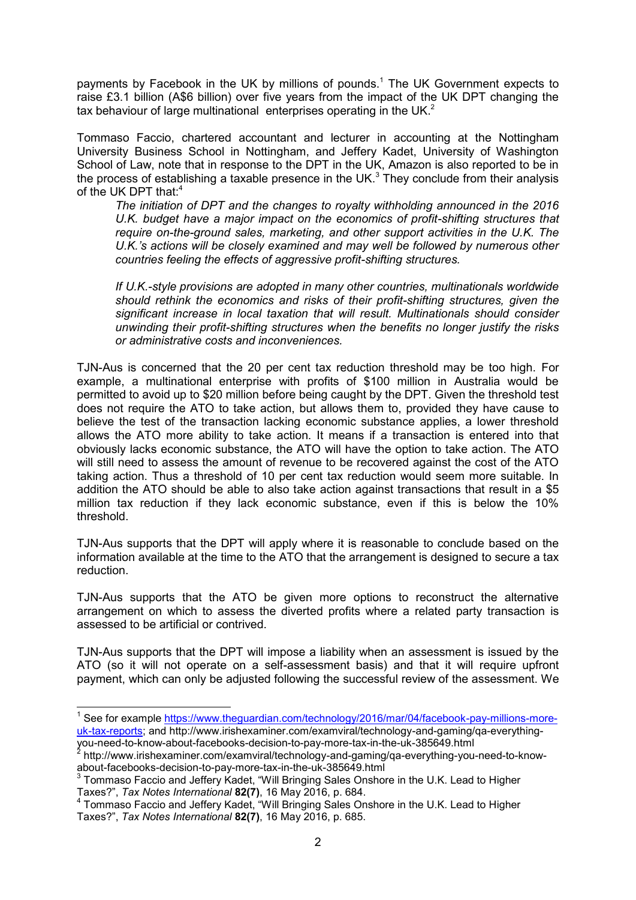payments by Facebook in the UK by millions of pounds.<sup>1</sup> The UK Government expects to raise £3.1 billion (A\$6 billion) over five years from the impact of the UK DPT changing the tax behaviour of large multinational enterprises operating in the UK. $<sup>2</sup>$ </sup>

Tommaso Faccio, chartered accountant and lecturer in accounting at the Nottingham University Business School in Nottingham, and Jeffery Kadet, University of Washington School of Law, note that in response to the DPT in the UK, Amazon is also reported to be in the process of establishing a taxable presence in the UK.<sup>3</sup> They conclude from their analysis of the UK DPT that:<sup>4</sup>

*The initiation of DPT and the changes to royalty withholding announced in the 2016 U.K. budget have a major impact on the economics of profit-shifting structures that require on-the-ground sales, marketing, and other support activities in the U.K. The U.K.'s actions will be closely examined and may well be followed by numerous other countries feeling the effects of aggressive profit-shifting structures.* 

*If U.K.-style provisions are adopted in many other countries, multinationals worldwide should rethink the economics and risks of their profit-shifting structures, given the significant increase in local taxation that will result. Multinationals should consider unwinding their profit-shifting structures when the benefits no longer justify the risks or administrative costs and inconveniences.*

TJN-Aus is concerned that the 20 per cent tax reduction threshold may be too high. For example, a multinational enterprise with profits of \$100 million in Australia would be permitted to avoid up to \$20 million before being caught by the DPT. Given the threshold test does not require the ATO to take action, but allows them to, provided they have cause to believe the test of the transaction lacking economic substance applies, a lower threshold allows the ATO more ability to take action. It means if a transaction is entered into that obviously lacks economic substance, the ATO will have the option to take action. The ATO will still need to assess the amount of revenue to be recovered against the cost of the ATO taking action. Thus a threshold of 10 per cent tax reduction would seem more suitable. In addition the ATO should be able to also take action against transactions that result in a \$5 million tax reduction if they lack economic substance, even if this is below the 10% threshold.

TJN-Aus supports that the DPT will apply where it is reasonable to conclude based on the information available at the time to the ATO that the arrangement is designed to secure a tax reduction.

TJN-Aus supports that the ATO be given more options to reconstruct the alternative arrangement on which to assess the diverted profits where a related party transaction is assessed to be artificial or contrived.

TJN-Aus supports that the DPT will impose a liability when an assessment is issued by the ATO (so it will not operate on a self-assessment basis) and that it will require upfront payment, which can only be adjusted following the successful review of the assessment. We

 $\overline{a}$ 

<sup>&</sup>lt;sup>1</sup> See for example [https://www.theguardian.com/technology/2016/mar/04/facebook-pay-millions-more](https://www.theguardian.com/technology/2016/mar/04/facebook-pay-millions-more-uk-tax-reports)[uk-tax-reports;](https://www.theguardian.com/technology/2016/mar/04/facebook-pay-millions-more-uk-tax-reports) and http://www.irishexaminer.com/examviral/technology-and-gaming/qa-everythingyou-need-to-know-about-facebooks-decision-to-pay-more-tax-in-the-uk-385649.html 2

 $^{\prime}$  http://www.irishexaminer.com/examviral/technology-and-gaming/ga-everything-you-need-to-knowabout-facebooks-decision-to-pay-more-tax-in-the-uk-385649.html 3

Tommaso Faccio and Jeffery Kadet, "Will Bringing Sales Onshore in the U.K. Lead to Higher Taxes?", *Tax Notes International* **82(7)**, 16 May 2016, p. 684.

<sup>&</sup>lt;sup>4</sup> Tommaso Faccio and Jeffery Kadet, "Will Bringing Sales Onshore in the U.K. Lead to Higher Taxes?", *Tax Notes International* **82(7)**, 16 May 2016, p. 685.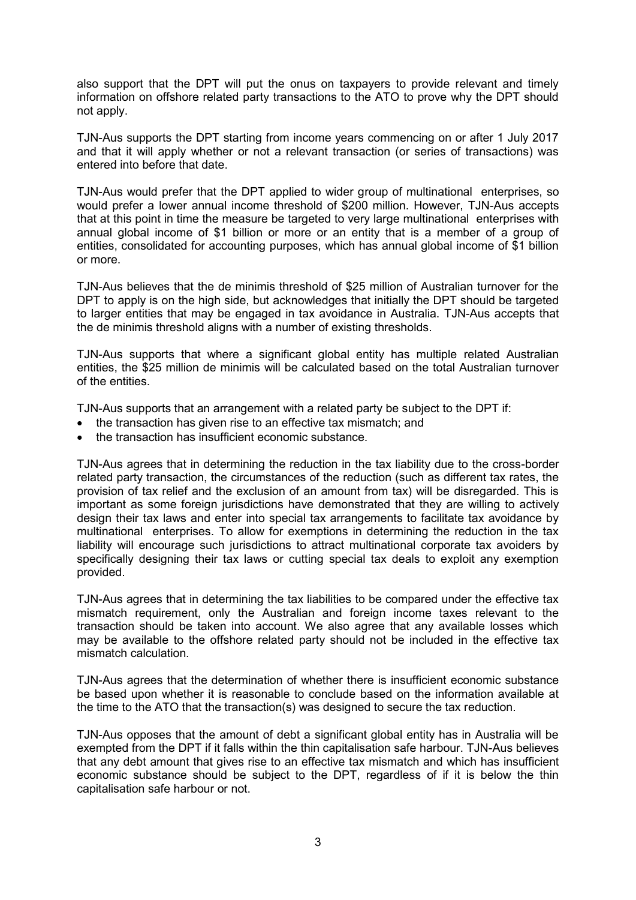also support that the DPT will put the onus on taxpayers to provide relevant and timely information on offshore related party transactions to the ATO to prove why the DPT should not apply.

TJN-Aus supports the DPT starting from income years commencing on or after 1 July 2017 and that it will apply whether or not a relevant transaction (or series of transactions) was entered into before that date.

TJN-Aus would prefer that the DPT applied to wider group of multinational enterprises, so would prefer a lower annual income threshold of \$200 million. However, TJN-Aus accepts that at this point in time the measure be targeted to very large multinational enterprises with annual global income of \$1 billion or more or an entity that is a member of a group of entities, consolidated for accounting purposes, which has annual global income of \$1 billion or more.

TJN-Aus believes that the de minimis threshold of \$25 million of Australian turnover for the DPT to apply is on the high side, but acknowledges that initially the DPT should be targeted to larger entities that may be engaged in tax avoidance in Australia. TJN-Aus accepts that the de minimis threshold aligns with a number of existing thresholds.

TJN-Aus supports that where a significant global entity has multiple related Australian entities, the \$25 million de minimis will be calculated based on the total Australian turnover of the entities.

TJN-Aus supports that an arrangement with a related party be subject to the DPT if:

- the transaction has given rise to an effective tax mismatch; and
- the transaction has insufficient economic substance.

TJN-Aus agrees that in determining the reduction in the tax liability due to the cross-border related party transaction, the circumstances of the reduction (such as different tax rates, the provision of tax relief and the exclusion of an amount from tax) will be disregarded. This is important as some foreign jurisdictions have demonstrated that they are willing to actively design their tax laws and enter into special tax arrangements to facilitate tax avoidance by multinational enterprises. To allow for exemptions in determining the reduction in the tax liability will encourage such jurisdictions to attract multinational corporate tax avoiders by specifically designing their tax laws or cutting special tax deals to exploit any exemption provided.

TJN-Aus agrees that in determining the tax liabilities to be compared under the effective tax mismatch requirement, only the Australian and foreign income taxes relevant to the transaction should be taken into account. We also agree that any available losses which may be available to the offshore related party should not be included in the effective tax mismatch calculation.

TJN-Aus agrees that the determination of whether there is insufficient economic substance be based upon whether it is reasonable to conclude based on the information available at the time to the ATO that the transaction(s) was designed to secure the tax reduction.

TJN-Aus opposes that the amount of debt a significant global entity has in Australia will be exempted from the DPT if it falls within the thin capitalisation safe harbour. TJN-Aus believes that any debt amount that gives rise to an effective tax mismatch and which has insufficient economic substance should be subject to the DPT, regardless of if it is below the thin capitalisation safe harbour or not.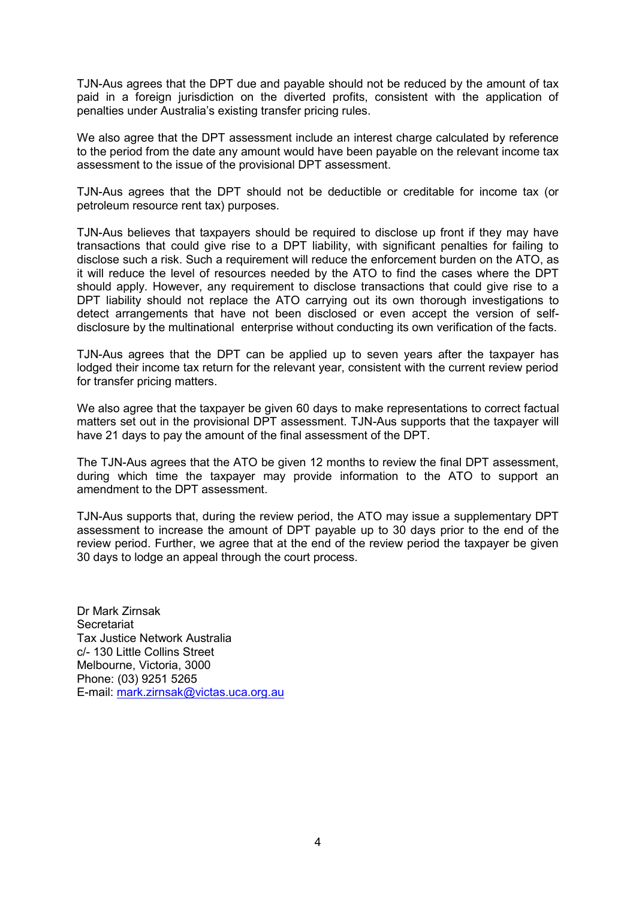TJN-Aus agrees that the DPT due and payable should not be reduced by the amount of tax paid in a foreign jurisdiction on the diverted profits, consistent with the application of penalties under Australia's existing transfer pricing rules.

We also agree that the DPT assessment include an interest charge calculated by reference to the period from the date any amount would have been payable on the relevant income tax assessment to the issue of the provisional DPT assessment.

TJN-Aus agrees that the DPT should not be deductible or creditable for income tax (or petroleum resource rent tax) purposes.

TJN-Aus believes that taxpayers should be required to disclose up front if they may have transactions that could give rise to a DPT liability, with significant penalties for failing to disclose such a risk. Such a requirement will reduce the enforcement burden on the ATO, as it will reduce the level of resources needed by the ATO to find the cases where the DPT should apply. However, any requirement to disclose transactions that could give rise to a DPT liability should not replace the ATO carrying out its own thorough investigations to detect arrangements that have not been disclosed or even accept the version of selfdisclosure by the multinational enterprise without conducting its own verification of the facts.

TJN-Aus agrees that the DPT can be applied up to seven years after the taxpayer has lodged their income tax return for the relevant year, consistent with the current review period for transfer pricing matters.

We also agree that the taxpayer be given 60 days to make representations to correct factual matters set out in the provisional DPT assessment. TJN-Aus supports that the taxpayer will have 21 days to pay the amount of the final assessment of the DPT.

The TJN-Aus agrees that the ATO be given 12 months to review the final DPT assessment, during which time the taxpayer may provide information to the ATO to support an amendment to the DPT assessment.

TJN-Aus supports that, during the review period, the ATO may issue a supplementary DPT assessment to increase the amount of DPT payable up to 30 days prior to the end of the review period. Further, we agree that at the end of the review period the taxpayer be given 30 days to lodge an appeal through the court process.

Dr Mark Zirnsak **Secretariat** Tax Justice Network Australia c/- 130 Little Collins Street Melbourne, Victoria, 3000 Phone: (03) 9251 5265 E-mail: [mark.zirnsak@victas.uca.org.au](mailto:mark.zirnsak@victas.uca.org.au)